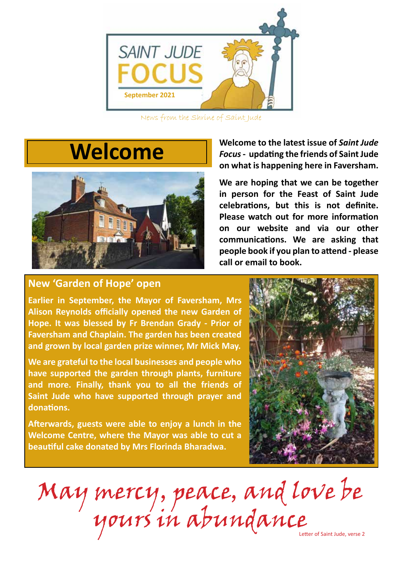

News from the Shrine of Saint Jude

# **Welcome**



**Welcome to the latest issue of** *Saint Jude Focus* **- updating the friends of Saint Jude on what is happening here in Faversham.** 

**We are hoping that we can be together in person for the Feast of Saint Jude celebrations, but this is not definite. Please watch out for more information on our website and via our other communications. We are asking that people book if you plan to attend - please call or email to book.**

## **New 'Garden of Hope' open**

**Earlier in September, the Mayor of Faversham, Mrs Alison Reynolds officially opened the new Garden of Hope. It was blessed by Fr Brendan Grady - Prior of Faversham and Chaplain. The garden has been created and grown by local garden prize winner, Mr Mick May.** 

**We are grateful to the local businesses and people who have supported the garden through plants, furniture and more. Finally, thank you to all the friends of Saint Jude who have supported through prayer and donations.**

**Afterwards, guests were able to enjoy a lunch in the Welcome Centre, where the Mayor was able to cut a beautiful cake donated by Mrs Florinda Bharadwa.** 



May mercy, peace, and love be yours in abundance